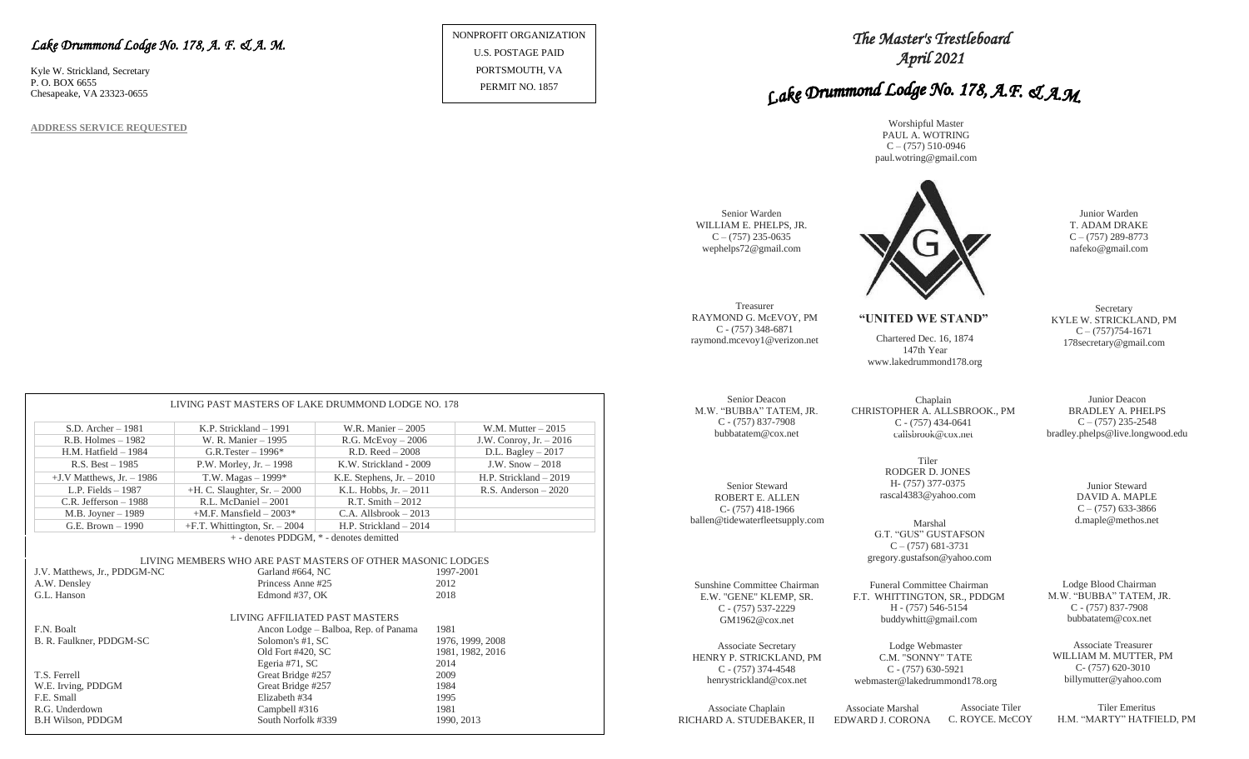#### *Lake Drummond Lodge No. 178, A. F. & A. M.*

Kyle W. Strickland, Secretary P. O. BOX 6655 Chesapeake, VA 23323-0655

**ADDRESS SERVICE REQUESTED**

NONPROFIT ORGANIZATION U.S. POSTAGE PAID PORTSMOUTH, VA PERMIT NO. 1857

# *The Master's Trestleboard April 2021*

# Lake Drummond Lodge No. 178, A.F. & A.M.

Worshipful Master PAUL A. WOTRING  $C - (757)$  510-0946 paul.wotring@gmail.com



Junior Warden T. ADAM DRAKE  $C - (757) 289 - 8773$ nafeko@gmail.com

Secretary KYLE W. STRICKLAND, PM  $C - (757)754-1671$ 178secretary@gmail.com

Junior Deacon BRADLEY A. PHELPS  $C - (757)$  235-2548 bradley.phelps@live.longwood.edu

Junior Steward DAVID A. MAPLE  $C - (757)$  633-3866 Marshal d.maple@methos.net

> Lodge Blood Chairman M.W. "BUBBA" TATEM, JR. C - (757) 837-7908 bubbatatem@cox.net

Associate Treasurer WILLIAM M. MUTTER, PM C- (757) 620-3010 billymutter@yahoo.com

Associate Chaplain RICHARD A. STUDEBAKER, II

Senior Steward ROBERT E. ALLEN C- (757) 418-1966 ballen@tidewaterfleetsupply.com

Senior Deacon

Sunshine Committee Chairman E.W. "GENE" KLEMP, SR. C - (757) 537-2229 GM1962@cox.net

Associate Secretary HENRY P. STRICKLAND, PM C - (757) 374-4548 henrystrickland@cox.net

Treasurer RAYMOND G. McEVOY, PM C - (757) 348-6871

Senior Warden WILLIAM E. PHELPS, JR.  $C - (757)$  235-0635 wephelps72@gmail.com

> EDWARD J. CORONA Associate Tiler C. ROYCE. McCOY

Tiler Emeritus H.M. "MARTY" HATFIELD, PM

| $S.D.$ Archer $-1981$                                       | $K.P. Strickland - 1991$                                     | W.R. Manier $-2005$                     | W.M. Mutter $-2015$       |  |  |  |  |  |
|-------------------------------------------------------------|--------------------------------------------------------------|-----------------------------------------|---------------------------|--|--|--|--|--|
| $R.B.$ Holmes $-1982$                                       | W. R. Manier - 1995                                          | R.G. McEvoy $-2006$                     | J.W. Conroy, $Jr. - 2016$ |  |  |  |  |  |
| $H.M.$ Hatfield $-1984$                                     | G.R.Tester $-1996*$                                          | $R.D. Reed - 2008$                      | D.L. Bagley $-2017$       |  |  |  |  |  |
| $R.S. Best - 1985$                                          | P.W. Morley, Jr. $-1998$                                     | K.W. Strickland - 2009                  | J.W. $Show-2018$          |  |  |  |  |  |
| $+J.V$ Matthews, Jr. $-1986$                                | T.W. Magas $-1999*$<br>K.E. Stephens, $Jr. - 2010$           |                                         | H.P. Strickland $-2019$   |  |  |  |  |  |
| L.P. Fields $-1987$                                         | $+H$ . C. Slaughter, Sr. $-2000$<br>K.L. Hobbs, $Jr. - 2011$ |                                         | $R.S.$ Anderson $-2020$   |  |  |  |  |  |
| C.R. Jefferson $-1988$                                      | $R.L.$ McDaniel $-2001$<br>$R.T. Smith - 2012$               |                                         |                           |  |  |  |  |  |
| $M.B. Joyner - 1989$                                        | $C.A.$ Allsbrook $-2013$<br>$+M.F.$ Mansfield $-2003*$       |                                         |                           |  |  |  |  |  |
| G.E. Brown $-1990$                                          | $+F.T.$ Whittington, Sr. $-2004$<br>H.P. Strickland $-2014$  |                                         |                           |  |  |  |  |  |
|                                                             |                                                              | + - denotes PDDGM, * - denotes demitted |                           |  |  |  |  |  |
|                                                             |                                                              |                                         |                           |  |  |  |  |  |
| LIVING MEMBERS WHO ARE PAST MASTERS OF OTHER MASONIC LODGES |                                                              |                                         |                           |  |  |  |  |  |
| J.V. Matthews, Jr., PDDGM-NC                                | Garland #664, NC                                             |                                         | 1997-2001                 |  |  |  |  |  |
| A.W. Densley                                                | Princess Anne#25                                             |                                         | 2012                      |  |  |  |  |  |
| G.L. Hanson                                                 | Edmond #37, OK                                               |                                         | 2018                      |  |  |  |  |  |
|                                                             |                                                              | LIVING AFFILIATED PAST MASTERS          |                           |  |  |  |  |  |
| F.N. Boalt                                                  | Ancon Lodge – Balboa, Rep. of Panama                         |                                         | 1981                      |  |  |  |  |  |
| B. R. Faulkner, PDDGM-SC<br>Solomon's #1, SC                |                                                              |                                         | 1976, 1999, 2008          |  |  |  |  |  |
|                                                             | Old Fort #420, SC                                            |                                         | 1981, 1982, 2016          |  |  |  |  |  |
|                                                             | Egeria #71, SC                                               |                                         | 2014                      |  |  |  |  |  |
| T.S. Ferrell                                                | Great Bridge #257                                            |                                         | 2009                      |  |  |  |  |  |
| W.E. Irving, PDDGM                                          | Great Bridge #257                                            |                                         | 1984                      |  |  |  |  |  |
| F.E. Small                                                  | Elizabeth #34                                                |                                         | 1995                      |  |  |  |  |  |
| R.G. Underdown<br>Campbell #316                             |                                                              |                                         | 1981                      |  |  |  |  |  |
|                                                             |                                                              |                                         |                           |  |  |  |  |  |

B.H Wilson, PDDGM South Norfolk #339 1990, 2013

LIVING PAST MASTERS OF LAKE DRUMMOND LODGE NO. 178

raymond.mcevoy1@verizon.net Chartered Dec. 16, 1874 147th Year www.lakedrummond178.org **"UNITED WE STAND"**

Chaplain M.W. "BUBBA" TATEM, JR. C - (757) 837-7908 bubbatatem@cox.net

CHRISTOPHER A. ALLSBROOK., PM C - (757) 434-0641 callsbrook@cox.net

> Tiler RODGER D. JONES H- (757) 377-0375 rascal4383@yahoo.com

G.T. "GUS" GUSTAFSON  $C - (757)$  681-3731 gregory.gustafson@yahoo.com

Funeral Committee Chairman F.T. WHITTINGTON, SR., PDDGM H - (757) 546-5154 buddywhitt@gmail.com

Lodge Webmaster C.M. "SONNY" TATE C - (757) 630-5921

webmaster@lakedrummond178.org

Associate Marshal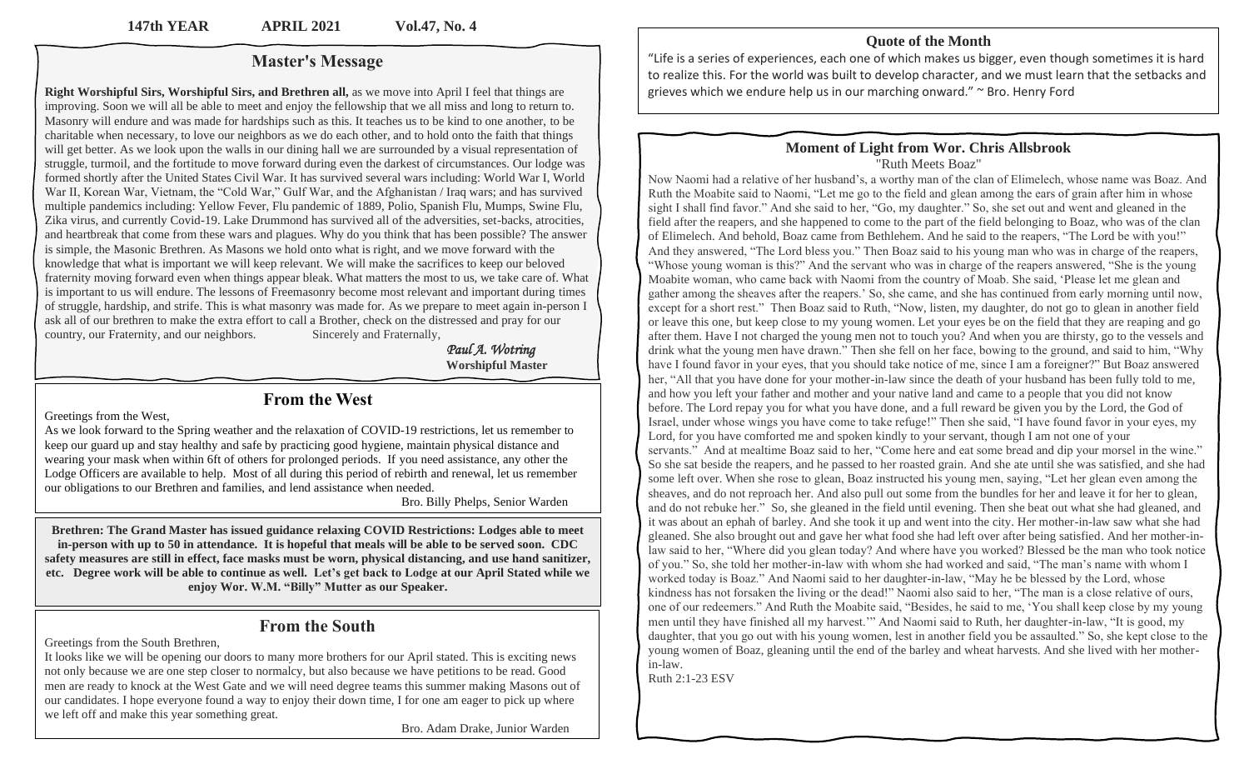# **Master's Message**

**Right Worshipful Sirs, Worshipful Sirs, and Brethren all,** as we move into April I feel that things are improving. Soon we will all be able to meet and enjoy the fellowship that we all miss and long to return to. Masonry will endure and was made for hardships such as this. It teaches us to be kind to one another, to be charitable when necessary, to love our neighbors as we do each other, and to hold onto the faith that things will get better. As we look upon the walls in our dining hall we are surrounded by a visual representation of struggle, turmoil, and the fortitude to move forward during even the darkest of circumstances. Our lodge was formed shortly after the United States Civil War. It has survived several wars including: World War I, World War II, Korean War, Vietnam, the "Cold War," Gulf War, and the Afghanistan / Iraq wars; and has survived multiple pandemics including: Yellow Fever, Flu pandemic of 1889, Polio, Spanish Flu, Mumps, Swine Flu, Zika virus, and currently Covid-19. Lake Drummond has survived all of the adversities, set-backs, atrocities, and heartbreak that come from these wars and plagues. Why do you think that has been possible? The answer is simple, the Masonic Brethren. As Masons we hold onto what is right, and we move forward with the knowledge that what is important we will keep relevant. We will make the sacrifices to keep our beloved fraternity moving forward even when things appear bleak. What matters the most to us, we take care of. What is important to us will endure. The lessons of Freemasonry become most relevant and important during times of struggle, hardship, and strife. This is what masonry was made for. As we prepare to meet again in-person I ask all of our brethren to make the extra effort to call a Brother, check on the distressed and pray for our country, our Fraternity, and our neighbors. Sincerely and Fraternally,

*Paul A. Wotring* **Worshipful Master**

# **From the West**

#### Greetings from the West,

As we look forward to the Spring weather and the relaxation of COVID-19 restrictions, let us remember to keep our guard up and stay healthy and safe by practicing good hygiene, maintain physical distance and wearing your mask when within 6ft of others for prolonged periods. If you need assistance, any other the Lodge Officers are available to help. Most of all during this period of rebirth and renewal, let us remember our obligations to our Brethren and families, and lend assistance when needed.

Bro. Billy Phelps, Senior Warden

**Brethren: The Grand Master has issued guidance relaxing COVID Restrictions: Lodges able to meet in-person with up to 50 in attendance. It is hopeful that meals will be able to be served soon. CDC safety measures are still in effect, face masks must be worn, physical distancing, and use hand sanitizer, etc. Degree work will be able to continue as well. Let's get back to Lodge at our April Stated while we enjoy Wor. W.M. "Billy" Mutter as our Speaker.**

# **From the South**

Greetings from the South Brethren,

It looks like we will be opening our doors to many more brothers for our April stated. This is exciting news not only because we are one step closer to normalcy, but also because we have petitions to be read. Good men are ready to knock at the West Gate and we will need degree teams this summer making Masons out of our candidates. I hope everyone found a way to enjoy their down time, I for one am eager to pick up where we left off and make this year something great.

Bro. Adam Drake, Junior Warden

### **Quote of the Month**

"Life is a series of experiences, each one of which makes us bigger, even though sometimes it is hard to realize this. For the world was built to develop character, and we must learn that the setbacks and grieves which we endure help us in our marching onward." ~ Bro. Henry Ford

#### **Moment of Light from Wor. Chris Allsbrook** "Ruth Meets Boaz"

Now Naomi had a relative of her husband's, a worthy man of the clan of Elimelech, whose name was Boaz. And Ruth the Moabite said to Naomi, "Let me go to the field and glean among the ears of grain after him in whose sight I shall find favor." And she said to her, "Go, my daughter." So, she set out and went and gleaned in the field after the reapers, and she happened to come to the part of the field belonging to Boaz, who was of the clan of Elimelech. And behold, Boaz came from Bethlehem. And he said to the reapers, "The Lord be with you!" And they answered, "The Lord bless you." Then Boaz said to his young man who was in charge of the reapers, "Whose young woman is this?" And the servant who was in charge of the reapers answered, "She is the young Moabite woman, who came back with Naomi from the country of Moab. She said, 'Please let me glean and gather among the sheaves after the reapers.' So, she came, and she has continued from early morning until now, except for a short rest." Then Boaz said to Ruth, "Now, listen, my daughter, do not go to glean in another field or leave this one, but keep close to my young women. Let your eyes be on the field that they are reaping and go after them. Have I not charged the young men not to touch you? And when you are thirsty, go to the vessels and drink what the young men have drawn." Then she fell on her face, bowing to the ground, and said to him, "Why have I found favor in your eyes, that you should take notice of me, since I am a foreigner?" But Boaz answered her, "All that you have done for your mother-in-law since the death of your husband has been fully told to me, and how you left your father and mother and your native land and came to a people that you did not know before. The Lord repay you for what you have done, and a full reward be given you by the Lord, the God of Israel, under whose wings you have come to take refuge!" Then she said, "I have found favor in your eyes, my Lord, for you have comforted me and spoken kindly to your servant, though I am not one of your servants." And at mealtime Boaz said to her, "Come here and eat some bread and dip your morsel in the wine." So she sat beside the reapers, and he passed to her roasted grain. And she ate until she was satisfied, and she had some left over. When she rose to glean, Boaz instructed his young men, saying, "Let her glean even among the sheaves, and do not reproach her. And also pull out some from the bundles for her and leave it for her to glean, and do not rebuke her." So, she gleaned in the field until evening. Then she beat out what she had gleaned, and it was about an ephah of barley. And she took it up and went into the city. Her mother-in-law saw what she had gleaned. She also brought out and gave her what food she had left over after being satisfied. And her mother-inlaw said to her, "Where did you glean today? And where have you worked? Blessed be the man who took notice of you." So, she told her mother-in-law with whom she had worked and said, "The man's name with whom I worked today is Boaz." And Naomi said to her daughter-in-law, "May he be blessed by the Lord, whose kindness has not forsaken the living or the dead!" Naomi also said to her, "The man is a close relative of ours, one of our redeemers." And Ruth the Moabite said, "Besides, he said to me, 'You shall keep close by my young men until they have finished all my harvest.'" And Naomi said to Ruth, her daughter-in-law, "It is good, my daughter, that you go out with his young women, lest in another field you be assaulted." So, she kept close to the young women of Boaz, gleaning until the end of the barley and wheat harvests. And she lived with her motherin-law.

Ruth 2:1-23 ESV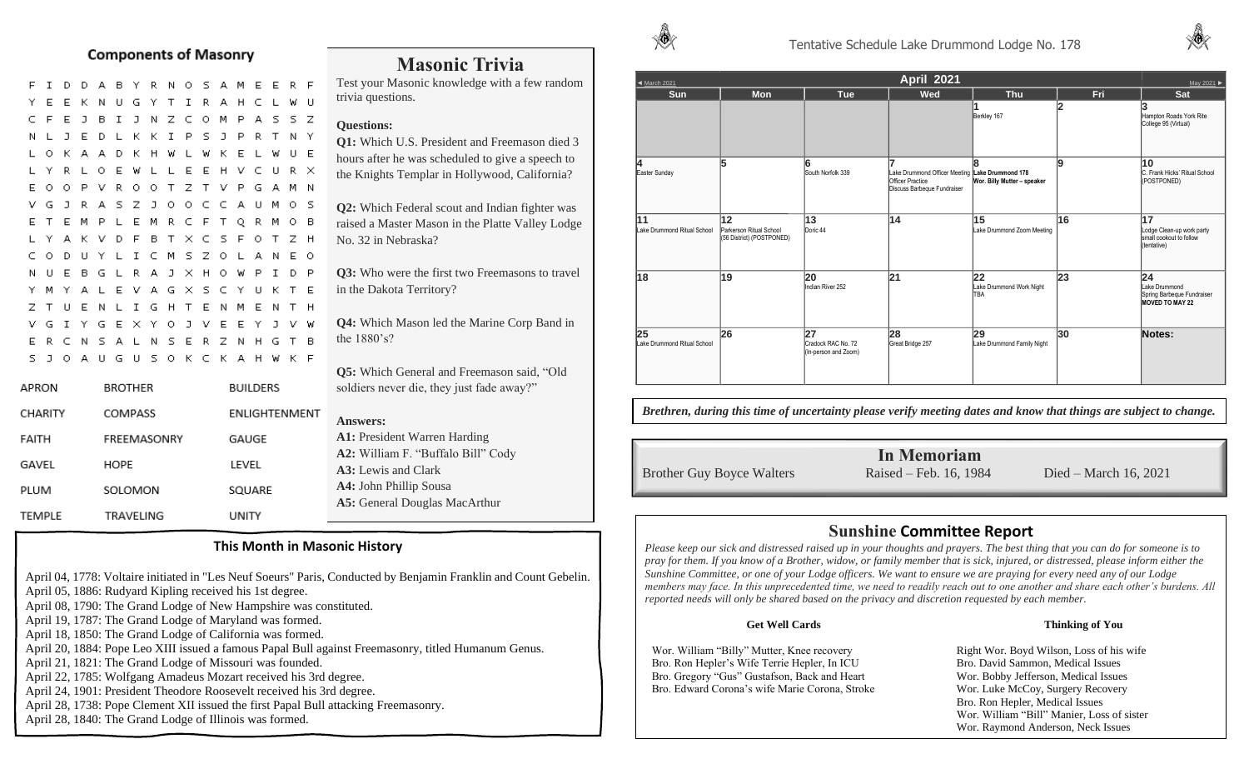#### **Components of Masonry**

D A B Y R N O S A M E E R F E K N U G Y T I R A H C L W U C F E J B I J N Z C O M P A S S Z J E D L K K I P S J P R T N Y K A A D K H W L W K E L W U E O E W L L E E H V C U R X L. P V R O O T Z T V P G A M N  $\circ$ A S Z J O O C C A U M O S JR. M P L E M R C F T Q R M O B AKVDFBTXCSFOTZH U Y L I C M S Z O L A N E O G L R A J X H O W P I D P - B -Y A L E V A G X S C Y U K T E ENLIGHTENMENTH - LI  $\mathbf{I}$ Y G E X Y O J V E E ΙY. J. V W N S A L N S E R Z N H G T B S J O A U G U S O K C K A H W K F

APRON **BROTHER BUILDERS** CHARITY COMPASS **ENLIGHTENMENT FAITH** FREEMASONRY GAUGE GAVEL HOPE LEVEL SOLOMON SQUARE PLUM **TEMPLE TRAVELING UNITY** 

**This Month in Masonic History**

April 04, 1778: Voltaire initiated in "Les Neuf Soeurs" Paris, Conducted by Benjamin Franklin and Count Gebelin.

April 05, 1886: Rudyard Kipling received his 1st degree.

April 08, 1790: The Grand Lodge of New Hampshire was constituted.

April 19, 1787: The Grand Lodge of Maryland was formed.

April 18, 1850: The Grand Lodge of California was formed.

April 20, 1884: Pope Leo XIII issued a famous Papal Bull against Freemasonry, titled Humanum Genus.

April 21, 1821: The Grand Lodge of Missouri was founded.

April 22, 1785: Wolfgang Amadeus Mozart received his 3rd degree.

April 24, 1901: President Theodore Roosevelt received his 3rd degree.

April 28, 1738: Pope Clement XII issued the first Papal Bull attacking Freemasonry.

April 28, 1840: The Grand Lodge of Illinois was formed.

# **Masonic Trivia**

Test your Masonic knowledge with a few random trivia questions.

#### **Questions:**

**Q1:** Which U.S. President and Freemason died 3 hours after he was scheduled to give a speech to the Knights Templar in Hollywood, California?

**Q2:** Which Federal scout and Indian fighter was raised a Master Mason in the Platte Valley Lodge No. 32 in Nebraska?

**Q3:** Who were the first two Freemasons to travel in the Dakota Territory?

**Q4:** Which Mason led the Marine Corp Band in the 1880's?

**Q5:** Which General and Freemason said, "Old soldiers never die, they just fade away?"

#### **Answers: A1:** President Warren Harding **A2:** William F. "Buffalo Bill" Cody

**A3:** Lewis and Clark **A4:** John Phillip Sousa **A5:** General Douglas MacArthur

Tentative Schedule Lake Drummond Lodge No. 178

| <b>April 2021</b><br>$\triangleleft$ March 2021 |                                                            |                                                  |                                                                                                           |                                       |                         |                                                                             |  |
|-------------------------------------------------|------------------------------------------------------------|--------------------------------------------------|-----------------------------------------------------------------------------------------------------------|---------------------------------------|-------------------------|-----------------------------------------------------------------------------|--|
| <b>Sun</b>                                      | <b>Mon</b>                                                 | Tue                                              | Wed                                                                                                       | <b>Thu</b>                            | <b>Fri</b>              | Sat                                                                         |  |
|                                                 |                                                            |                                                  |                                                                                                           | Berkley 167                           | $\overline{\mathbf{c}}$ | 3<br>Hampton Roads York Rite<br>College 95 (Virtual)                        |  |
| 4<br>Easter Sunday                              | 5                                                          | 6<br>South Norfolk 339                           | Lake Drummond Officer Meeting Lake Drummond 178<br><b>Officer Practice</b><br>Discuss Barbeque Fundraiser | Wor. Billy Mutter - speaker           | 9                       | 10<br>C. Frank Hicks' Ritual School<br>(POSTPONED)                          |  |
| 11<br>Lake Drummond Ritual School               | 12<br>Parkerson Ritual School<br>(56 District) (POSTPONED) | 13<br>Doric 44                                   | 14                                                                                                        | 15<br>Lake Drummond Zoom Meeting      | 16                      | 17<br>Lodge Clean-up work party<br>small cookout to follow<br>(tentative)   |  |
| 18                                              | 19                                                         | 20<br>Indian River 252                           | 21                                                                                                        | 22<br>Lake Drummond Work Night<br>TBA | 23                      | 24<br>Lake Drummond<br>Spring Barbeque Fundraiser<br><b>MOVED TO MAY 22</b> |  |
| 25<br>Lake Drummond Ritual School               | 26                                                         | 27<br>Cradock RAC No. 72<br>(In-person and Zoom) | 28<br>Great Bridge 257                                                                                    | 29<br>Lake Drummond Family Night      | 30                      | Notes:                                                                      |  |

*Brethren, during this time of uncertainty please verify meeting dates and know that things are subject to change.* 

#### **In Memoriam**

Brother Guy Boyce Walters Raised – Feb. 16, 1984 Died – March 16, 2021

## **Sunshine Committee Report**

*Please keep our sick and distressed raised up in your thoughts and prayers. The best thing that you can do for someone is to pray for them. If you know of a Brother, widow, or family member that is sick, injured, or distressed, please inform either the Sunshine Committee, or one of your Lodge officers. We want to ensure we are praying for every need any of our Lodge members may face. In this unprecedented time, we need to readily reach out to one another and share each other's burdens. All reported needs will only be shared based on the privacy and discretion requested by each member.* 

#### **Get Well Cards Thinking of You**

Wor. William "Billy" Mutter, Knee recovery Bro. Ron Hepler's Wife Terrie Hepler, In ICU Bro. Gregory "Gus" Gustafson, Back and Heart Bro. Edward Corona's wife Marie Corona, Stroke

Right Wor. Boyd Wilson, Loss of his wife Bro. David Sammon, Medical Issues Wor. Bobby Jefferson, Medical Issues Wor. Luke McCoy, Surgery Recovery Bro. Ron Hepler, Medical Issues Wor. William "Bill" Manier, Loss of sister Wor. Raymond Anderson, Neck Issues